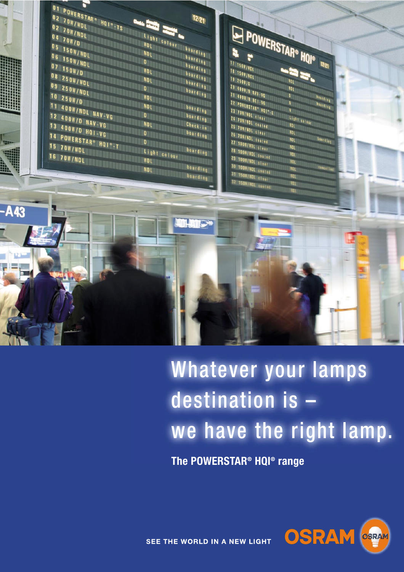

Whatever your lamps destination is – we have the right lamp. **The POWERSTAR® HQI® range**



SEE THE WORLD IN A NEW LIGHT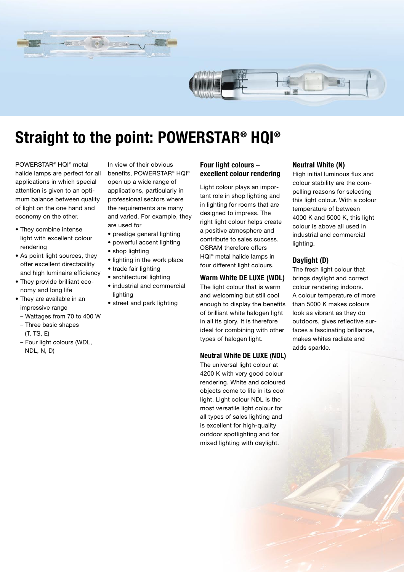



# **Straight to the point: POWERSTAR® HQI®**

POWERSTAR® HQI® metal halide lamps are perfect for all applications in which special attention is given to an optimum balance between quality of light on the one hand and economy on the other.

- They combine intense light with excellent colour rendering
- As point light sources, they offer excellent directability and high luminaire efficiency
- They provide brilliant economy and long life
- They are available in an impressive range
- Wattages from 70 to 400 W
- Three basic shapes (T, TS, E)
- Four light colours (WDL, NDL, N, D)

In view of their obvious benefits, POWERSTAR® HQI® open up a wide range of applications, particularly in professional sectors where the requirements are many and varied. For example, they are used for

- prestige general lighting
- powerful accent lighting • shop lighting
- lighting in the work place
- trade fair lighting
- architectural lighting
- industrial and commercial lighting
- street and park lighting

#### **Four light colours – excellent colour rendering**

Light colour plays an important role in shop lighting and in lighting for rooms that are designed to impress. The right light colour helps create a positive atmosphere and contribute to sales success. OSRAM therefore offers HQI® metal halide lamps in four different light colours.

#### **Warm White DE LUXE (WDL)**

The light colour that is warm and welcoming but still cool enough to display the benefits of brilliant white halogen light in all its glory. It is therefore ideal for combining with other types of halogen light.

# **Neutral White DE LUXE (NDL)**

The universal light colour at 4200 K with very good colour rendering. White and coloured objects come to life in its cool light. Light colour NDL is the most versatile light colour for all types of sales lighting and is excellent for high-quality outdoor spotlighting and for mixed lighting with daylight.

#### **Neutral White (N)**

High initial luminous flux and colour stability are the compelling reasons for selecting this light colour. With a colour temperature of between 4000 K and 5000 K, this light colour is above all used in industrial and commercial lighting.

# **Daylight (D)**

The fresh light colour that brings daylight and correct colour rendering indoors. A colour temperature of more than 5000 K makes colours look as vibrant as they do outdoors, gives reflective surfaces a fascinating brilliance, makes whites radiate and adds sparkle.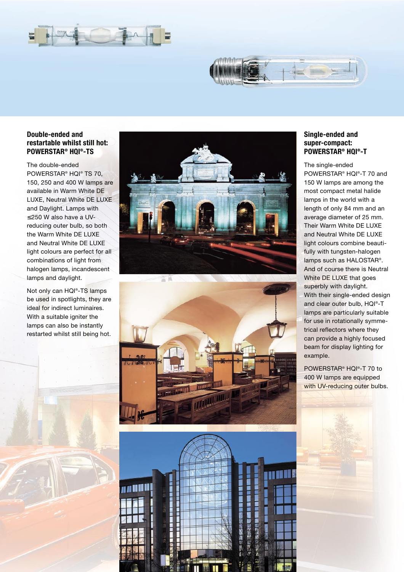



#### **Double-ended and restartable whilst still hot: POWERSTAR ® HQI ®-TS**

The double-ended POWERSTAR ® HQI ® TS 70, 150, 250 and 400 W lamps are available in Warm White DE LUXE, Neutral White DE LUXE and Daylight. Lamps with ≤ 250 W also have a UVreducing outer bulb, so both the Warm White DE LUXE and Neutral White DE LUXE light colours are perfect for all combinations of light from halogen lamps, incandescent lamps and daylight.

Not only can HQI ®-TS lamps be used in spotlights, they are ideal for indirect luminaires. With a suitable igniter the lamps can also be instantly restarted whilst still being hot.







#### **Single-ended and super-compact: POWERSTAR ® HQI ®-T**

The single-ended POWERSTAR ® HQI ®-T 70 and 150 W lamps are among the most compact metal halide lamps in the world with a length of only 84 mm and an average diameter of 25 mm. Their Warm White DE LUXE and Neutral White DE LUXE light colours combine beautifully with tungsten-halogen lamps such as HALOSTAR ® . And of course there is Neutral White DE LUXE that goes superbly with daylight. With their single-ended design and clear outer bulb, HQI ®-T lamps are particularly suitable for use in rotationally symmetrical reflectors where they can provide a highly focused beam for display lighting for example.

POWERSTAR ® HQI ®-T 70 to 400 W lamps are equipped with UV-reducing outer bulbs.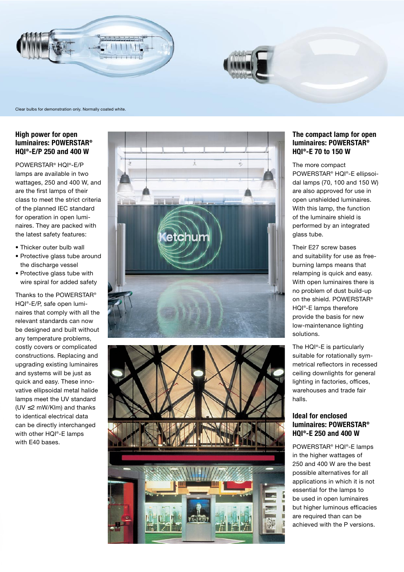



### **High power for open luminaires: POWERSTAR ® HQI ®-E/P 250 and 400 W**

POWERSTAR ® HQI ®-E/P lamps are available in two wattages, 250 and 400 W, and are the first lamps of their class to meet the strict criteria of the planned IEC standard for operation in open luminaires. They are packed with the latest safety features:

- Thicker outer bulb wall
- Protective glass tube around the discharge vessel
- Protective glass tube with wire spiral for added safety

Thanks to the POWERSTAR ® HQI ®-E/P, safe open luminaires that comply with all the relevant standards can now be designed and built without any temperature problems, costly covers or complicated constructions. Replacing and upgrading existing luminaires and systems will be just as quick and easy. These innovative ellipsoidal metal halide lamps meet the UV standard (UV ≤2 mW/Klm) and thanks to identical electrical data can be directly interchanged with other HQI ®-E lamps with E40 bases.





#### **The compact lamp for open luminaires: POWERSTAR ® HQI ®-E 70 to 150 W**

The more compact POWERSTAR ® HQI ®-E ellipsoidal lamps (70, 100 and 150 W) are also approved for use in open unshielded luminaires. With this lamp, the function of the luminaire shield is performed by an integrated glass tube.

Their E27 screw bases and suitability for use as freeburning lamps means that relamping is quick and easy. With open luminaires there is no problem of dust build-up on the shield. POWERSTAR ® HQI ®-E lamps therefore provide the basis for new low-maintenance lighting solutions.

The HQI ®-E is particularly suitable for rotationally symmetrical reflectors in recessed ceiling downlights for general lighting in factories, offices, warehouses and trade fair halls.

### **Ideal for enclosed luminaires: POWERSTAR ® HQI ®-E 250 and 400 W**

POWERSTAR ® HQI ®-E lamps in the higher wattages of 250 and 400 W are the best possible alternatives for all applications in which it is not essential for the lamps to be used in open luminaires but higher luminous efficacies are required than can be achieved with the P versions.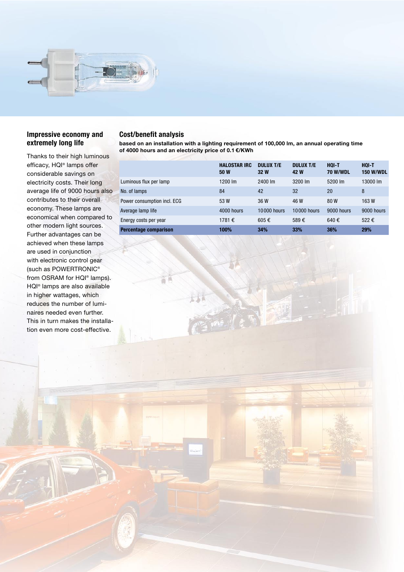

### **Impressive economy and extremely long life**

Thanks to their high luminous efficacy, HQI® lamps offer considerable savings on electricity costs. Their long average life of 9000 hours also contributes to their overall economy. These lamps are economical when compared to other modern light sources. Further advantages can be achieved when these lamps are used in conjunction with electronic control gear (such as POWERTRONIC® from OSRAM for HQI<sup>®</sup> lamps). HQI® lamps are also available in higher wattages, which reduces the number of luminaires needed even further. This in turn makes the installation even more cost-effective.

#### **Cost/benefit analysis**

**based on an installation with a lighting requirement of 100,000 lm, an annual operating time**  of 4000 hours and an electricity price of 0.1 €/KWh

|                              | <b>HALOSTAR IRC</b><br>50 W | <b>DULUX T/E</b><br>32 W | <b>DULUX T/E</b><br>42 W | $H01-T$<br><b>70 W/WDL</b> | $H0$ -T<br><b>150 W/WDL</b> |
|------------------------------|-----------------------------|--------------------------|--------------------------|----------------------------|-----------------------------|
| Luminous flux per lamp       | 1200 lm                     | 2400 lm                  | 3200 lm                  | 5200 lm                    | 13000 lm                    |
| No. of lamps                 | 84                          | 42                       | 32                       | 20                         | 8                           |
| Power consumption incl. ECG  | 53W                         | 36W                      | 46 W                     | 80 W                       | 163W                        |
| Average lamp life            | 4000 hours                  | 10000 hours              | 10000 hours              | 9000 hours                 | 9000 hours                  |
| Energy costs per year        | 1781 €                      | $605 \in$                | 589€                     | 640€                       | 522€                        |
| <b>Percentage comparison</b> | 100%                        | 34%                      | 33%                      | 36%                        | 29%                         |